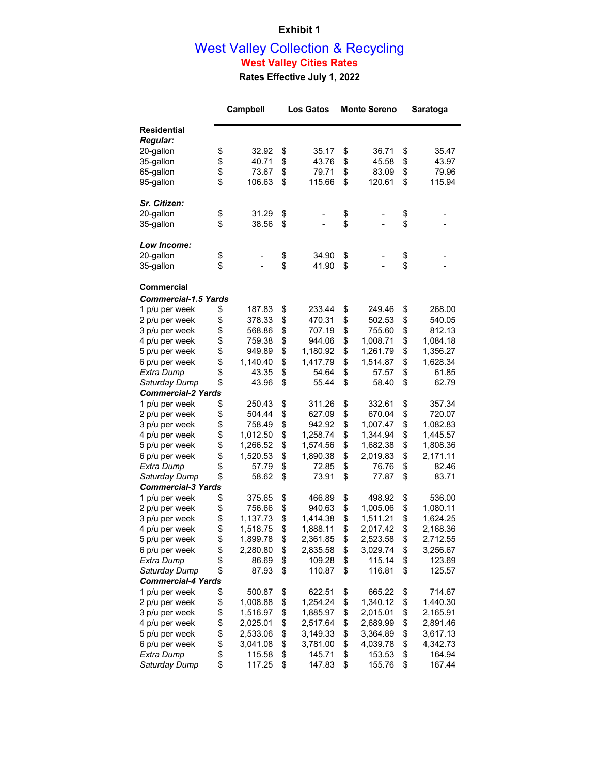### **Exhibit 1**

#### West Valley Collection & Recycling **West Valley Cities Rates**

**Rates Effective July 1, 2022**

|                             | Campbell       |    | <b>Los Gatos</b> | <b>Monte Sereno</b> |          |    | Saratoga |  |
|-----------------------------|----------------|----|------------------|---------------------|----------|----|----------|--|
| <b>Residential</b>          |                |    |                  |                     |          |    |          |  |
| <b>Regular:</b>             |                |    |                  |                     |          |    |          |  |
| 20-gallon                   | \$<br>32.92    | \$ | 35.17            | \$                  | 36.71    | \$ | 35.47    |  |
| 35-gallon                   | \$<br>40.71    | \$ | 43.76            | \$                  | 45.58    | \$ | 43.97    |  |
| 65-gallon                   | \$<br>73.67    | \$ | 79.71            | \$                  | 83.09    | \$ | 79.96    |  |
| 95-gallon                   | \$<br>106.63   | \$ | 115.66           | \$                  | 120.61   | \$ | 115.94   |  |
| Sr. Citizen:                |                |    |                  |                     |          |    |          |  |
| 20-gallon                   | \$<br>31.29    | \$ |                  |                     |          | \$ |          |  |
| 35-gallon                   | \$<br>38.56    | \$ | -                | \$<br>\$            |          | \$ |          |  |
|                             |                |    |                  |                     |          |    |          |  |
| Low Income:                 |                |    |                  |                     |          |    |          |  |
| 20-gallon                   | \$             | \$ | 34.90            | \$                  |          | \$ |          |  |
| 35-gallon                   | \$             | \$ | 41.90            | \$                  |          | \$ |          |  |
| Commercial                  |                |    |                  |                     |          |    |          |  |
| <b>Commercial-1.5 Yards</b> |                |    |                  |                     |          |    |          |  |
| 1 p/u per week              | \$<br>187.83   | \$ | 233.44           | \$                  | 249.46   | \$ | 268.00   |  |
| 2 p/u per week              | \$<br>378.33   | \$ | 470.31           | \$                  | 502.53   | \$ | 540.05   |  |
| 3 p/u per week              | \$<br>568.86   | \$ | 707.19           | \$                  | 755.60   | \$ | 812.13   |  |
| 4 p/u per week              | \$<br>759.38   | \$ | 944.06           | \$                  | 1,008.71 | \$ | 1,084.18 |  |
| 5 p/u per week              | \$<br>949.89   | \$ | 1,180.92         | \$                  | 1,261.79 | \$ | 1,356.27 |  |
| 6 p/u per week              | \$<br>1,140.40 | \$ | 1,417.79         | \$                  | 1,514.87 | \$ | 1,628.34 |  |
| Extra Dump                  | \$<br>43.35    | \$ | 54.64            | \$                  | 57.57    | \$ | 61.85    |  |
| Saturday Dump               | \$<br>43.96    | \$ | 55.44            | \$                  | 58.40    | \$ | 62.79    |  |
| <b>Commercial-2 Yards</b>   |                |    |                  |                     |          |    |          |  |
| 1 p/u per week              | \$<br>250.43   | \$ | 311.26           | \$                  | 332.61   | \$ | 357.34   |  |
| 2 p/u per week              | \$<br>504.44   | \$ | 627.09           | \$                  | 670.04   | \$ | 720.07   |  |
| 3 p/u per week              | \$<br>758.49   | \$ | 942.92           | \$                  | 1,007.47 | \$ | 1,082.83 |  |
| 4 p/u per week              | \$<br>1,012.50 | \$ | 1,258.74         | \$                  | 1,344.94 | \$ | 1,445.57 |  |
| 5 p/u per week              | \$<br>1,266.52 | \$ | 1,574.56         | \$                  | 1,682.38 | \$ | 1,808.36 |  |
| 6 p/u per week              | \$<br>1,520.53 | \$ | 1,890.38         | \$                  | 2,019.83 | \$ | 2,171.11 |  |
| Extra Dump                  | \$<br>57.79    | \$ | 72.85            | \$                  | 76.76    | \$ | 82.46    |  |
| Saturday Dump               | \$<br>58.62    | \$ | 73.91            | \$                  | 77.87    | \$ | 83.71    |  |
| <b>Commercial-3 Yards</b>   |                |    |                  |                     |          |    |          |  |
| 1 p/u per week              | \$<br>375.65   | \$ | 466.89           | \$                  | 498.92   | \$ | 536.00   |  |
| 2 p/u per week              | \$<br>756.66   | \$ | 940.63           | \$                  | 1,005.06 | \$ | 1,080.11 |  |
| 3 p/u per week              | \$<br>1,137.73 | \$ | 1,414.38         | \$                  | 1,511.21 | \$ | 1,624.25 |  |
| 4 p/u per week              | \$<br>1,518.75 | \$ | 1,888.11         | \$                  | 2,017.42 | \$ | 2,168.36 |  |
| 5 p/u per week              | \$<br>1,899.78 | \$ | 2,361.85         | \$                  | 2,523.58 | \$ | 2,712.55 |  |
| 6 p/u per week              | \$<br>2,280.80 | \$ | 2,835.58         | \$                  | 3,029.74 | \$ | 3,256.67 |  |
| Extra Dump                  | \$<br>86.69    | \$ | 109.28           | \$                  | 115.14   | \$ | 123.69   |  |
| Saturday Dump               | \$<br>87.93    | \$ | 110.87           | \$                  | 116.81   | \$ | 125.57   |  |
| <b>Commercial-4 Yards</b>   |                |    |                  |                     |          |    |          |  |
| 1 p/u per week              | \$<br>500.87   | \$ | 622.51           | \$                  | 665.22   | \$ | 714.67   |  |
| 2 p/u per week              | \$<br>1,008.88 | \$ | 1,254.24         | \$                  | 1,340.12 | \$ | 1,440.30 |  |
| 3 p/u per week              | \$<br>1,516.97 | \$ | 1,885.97         | \$                  | 2,015.01 | \$ | 2,165.91 |  |
| 4 p/u per week              | \$<br>2,025.01 | \$ | 2,517.64         | \$                  | 2,689.99 | \$ | 2,891.46 |  |
| 5 p/u per week              | \$<br>2,533.06 | \$ | 3,149.33         | \$                  | 3,364.89 | \$ | 3,617.13 |  |
| 6 p/u per week              | \$<br>3,041.08 | \$ | 3,781.00         | \$                  | 4,039.78 | \$ | 4,342.73 |  |
| Extra Dump                  | \$<br>115.58   | \$ | 145.71           | \$                  | 153.53   | \$ | 164.94   |  |
| Saturday Dump               | \$<br>117.25   | \$ | 147.83           | \$                  | 155.76   | \$ | 167.44   |  |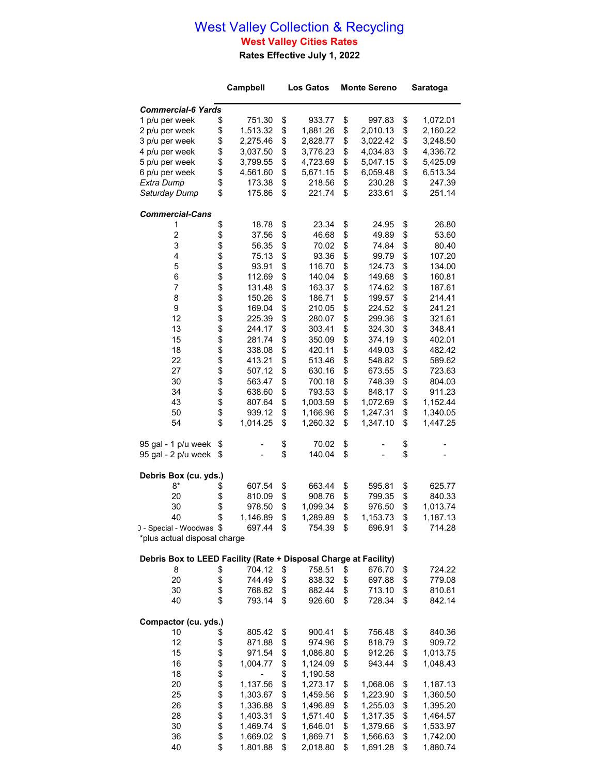## West Valley Collection & Recycling **West Valley Cities Rates**

**Rates Effective July 1, 2022**

|                                                                  |        | Campbell         |          | <b>Los Gatos</b> | <b>Monte Sereno</b> |                  |          | <b>Saratoga</b>  |
|------------------------------------------------------------------|--------|------------------|----------|------------------|---------------------|------------------|----------|------------------|
| <b>Commercial-6 Yards</b>                                        |        |                  |          |                  |                     |                  |          |                  |
| 1 p/u per week                                                   | \$     | 751.30           | \$       | 933.77           | \$                  | 997.83           | \$       | 1,072.01         |
| 2 p/u per week                                                   | \$     | 1,513.32         | \$       | 1,881.26         | \$                  | 2,010.13         | \$       | 2,160.22         |
| 3 p/u per week                                                   | \$     | 2,275.46         | \$       | 2,828.77         | \$<br>3,022.42      |                  | \$       | 3,248.50         |
| 4 p/u per week                                                   | \$     | 3,037.50         | \$       | 3,776.23         | \$<br>4,034.83      |                  | \$       | 4,336.72         |
| 5 p/u per week                                                   | \$     | 3,799.55         | \$       | 4,723.69         | \$                  | 5,047.15         | \$       | 5,425.09         |
| 6 p/u per week                                                   | \$     | 4,561.60         | \$       | 5,671.15         | \$                  | 6,059.48         | \$       | 6,513.34         |
| Extra Dump                                                       | \$     | 173.38           | \$       | 218.56           | \$                  | 230.28           | \$       | 247.39           |
| Saturday Dump                                                    | \$     | 175.86           | \$       | 221.74           | \$                  | 233.61           | \$       | 251.14           |
| <b>Commercial-Cans</b>                                           |        |                  |          |                  |                     |                  |          |                  |
| 1                                                                | \$     | 18.78            | \$       | 23.34            | \$                  | 24.95            | \$       | 26.80            |
| $\overline{c}$                                                   | \$     | 37.56            | \$       | 46.68            | \$                  | 49.89            | \$       | 53.60            |
| 3                                                                | \$     | 56.35            | \$       | 70.02            | \$                  | 74.84            | \$       | 80.40            |
| 4                                                                | \$     | 75.13            | \$       | 93.36            | \$                  | 99.79            | \$       | 107.20           |
| 5                                                                | \$     | 93.91            | \$       | 116.70           | \$                  | 124.73           | \$       | 134.00           |
| 6<br>$\overline{7}$                                              | \$     | 112.69           | \$       | 140.04           | \$                  | 149.68           | \$       | 160.81           |
| 8                                                                | \$\$   | 131.48<br>150.26 | \$<br>\$ | 163.37<br>186.71 | \$<br>\$            | 174.62<br>199.57 | \$<br>\$ | 187.61<br>214.41 |
| 9                                                                |        | 169.04           | \$       | 210.05           | \$                  | 224.52           | \$       | 241.21           |
| 12                                                               | \$     | 225.39           | \$       | 280.07           | \$                  | 299.36           | \$       | 321.61           |
| 13                                                               | \$     | 244.17           | \$       | 303.41           | \$                  | 324.30           | \$       | 348.41           |
| 15                                                               | \$     | 281.74           | \$       | 350.09           | \$                  | 374.19           | \$       | 402.01           |
| 18                                                               |        | 338.08           | \$       | 420.11           | \$                  | 449.03           | \$       | 482.42           |
| 22                                                               | \$     | 413.21           | \$       | 513.46           | \$                  | 548.82           | \$       | 589.62           |
| 27                                                               | \$     | 507.12           | \$       | 630.16           | \$                  | 673.55           | \$       | 723.63           |
| 30                                                               | \$     | 563.47           | \$       | 700.18           | \$                  | 748.39           | \$       | 804.03           |
| 34                                                               | \$     | 638.60           | \$       | 793.53           | \$                  | 848.17           | \$       | 911.23           |
| 43                                                               | \$     | 807.64           | \$       | 1,003.59         | \$                  | 1,072.69         | \$       | 1,152.44         |
| 50                                                               | \$     | 939.12           | \$       | 1,166.96         | \$                  | 1,247.31         | \$       | 1,340.05         |
| 54                                                               | \$     | 1,014.25         | \$       | 1,260.32         | \$                  | 1,347.10         | \$       | 1,447.25         |
| 95 gal - 1 p/u week                                              | \$     |                  | \$       | 70.02            | \$                  |                  | \$       |                  |
| 95 gal - 2 p/u week                                              | \$     |                  | \$       | 140.04           | \$                  |                  | \$       |                  |
| Debris Box (cu. yds.)                                            |        |                  |          |                  |                     |                  |          |                  |
| 8*                                                               | \$     | 607.54           | \$       | 663.44           | \$                  | 595.81           | \$       | 625.77           |
| 20                                                               | \$     | 810.09           | \$       | 908.76           | \$                  | 799.35           | \$       | 840.33           |
| 30                                                               | \$     | 978.50           | \$       | 1,099.34         | \$                  | 976.50           | \$       | 1,013.74         |
| 40                                                               | \$     | 1,146.89         | \$       | 1,289.89         | \$                  | 1,153.73         | \$       | 1,187.13         |
| ) - Special - Woodwas \$                                         |        | 697.44           | \$       | 754.39           | \$                  | 696.91           | \$       | 714.28           |
| *plus actual disposal charge                                     |        |                  |          |                  |                     |                  |          |                  |
| Debris Box to LEED Facility (Rate + Disposal Charge at Facility) |        |                  |          |                  |                     |                  |          |                  |
| 8                                                                | \$     | 704.12           | \$       | 758.51           | \$                  | 676.70           | \$       | 724.22           |
| 20                                                               | \$     | 744.49           | \$       | 838.32           | \$                  | 697.88           | \$       | 779.08           |
| 30                                                               | \$     | 768.82           | \$       | 882.44           | \$                  | 713.10           | \$       | 810.61           |
| 40                                                               | \$     | 793.14           | \$       | 926.60           | \$                  | 728.34           | \$       | 842.14           |
| Compactor (cu. yds.)                                             |        |                  |          |                  |                     |                  |          |                  |
| 10                                                               | \$     | 805.42           | \$       | 900.41           | \$                  | 756.48           | \$       | 840.36           |
| 12                                                               | \$     | 871.88           | \$       | 974.96           | \$                  | 818.79           | \$       | 909.72           |
| 15                                                               | \$     | 971.54           | \$       | 1,086.80         | \$                  | 912.26           | \$       | 1,013.75         |
| 16                                                               | \$     | 1,004.77         | \$       | 1,124.09         | \$                  | 943.44           | \$       | 1,048.43         |
| 18                                                               |        |                  | \$       | 1,190.58         |                     |                  |          |                  |
| 20                                                               | \$\$\$ | 1,137.56         | \$       | 1,273.17         | \$                  | 1,068.06         | \$       | 1,187.13         |
| 25                                                               |        | 1,303.67         | \$       | 1,459.56         | \$                  | 1,223.90         | \$       | 1,360.50         |
| 26                                                               |        | 1,336.88         | \$       | 1,496.89         | \$                  | 1,255.03         | \$       | 1,395.20         |
| 28                                                               | \$     | 1,403.31         | \$       | 1,571.40         | \$                  | 1,317.35         | \$       | 1,464.57         |
| 30                                                               | \$     | 1,469.74         | \$       | 1,646.01         | \$                  | 1,379.66         | \$       | 1,533.97         |
| 36                                                               | \$     | 1,669.02         | \$       | 1,869.71         | \$                  | 1,566.63         | \$       | 1,742.00         |

\$ 1,801.88 \$ 2,018.80 \$ 1,691.28 \$ 1,880.74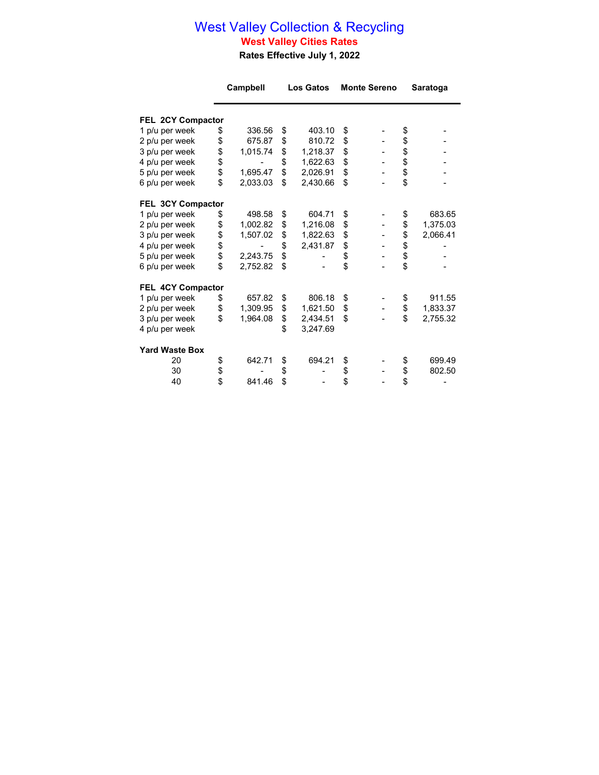### West Valley Collection & Recycling **West Valley Cities Rates**

**Rates Effective July 1, 2022**

|                                  | Campbell |          | <b>Los Gatos</b> |          | <b>Monte Sereno</b> |  | Saratoga |          |
|----------------------------------|----------|----------|------------------|----------|---------------------|--|----------|----------|
| FEL 2CY Compactor                |          |          |                  |          |                     |  |          |          |
| 1 p/u per week                   |          | 336.56   | \$               | 403.10   | \$                  |  | \$       |          |
|                                  | \$       | 675.87   | \$               | 810.72   | \$                  |  |          |          |
| 2 p/u per week<br>3 p/u per week | \$<br>\$ | 1,015.74 | \$               | 1,218.37 | \$                  |  | \$<br>\$ |          |
| 4 p/u per week                   |          |          | \$               | 1,622.63 | \$                  |  |          |          |
| 5 p/u per week                   | \$<br>\$ | 1,695.47 | \$               | 2,026.91 | \$                  |  |          |          |
| 6 p/u per week                   | \$       | 2,033.03 | \$               | 2,430.66 | \$                  |  | \$\$     |          |
|                                  |          |          |                  |          |                     |  |          |          |
| FEL 3CY Compactor                |          |          |                  |          |                     |  |          |          |
| 1 p/u per week                   | \$       | 498.58   | \$               | 604.71   | \$                  |  | \$       | 683.65   |
| 2 p/u per week                   | \$       | 1,002.82 | \$               | 1,216.08 | \$                  |  | \$       | 1,375.03 |
| 3 p/u per week                   | \$       | 1,507.02 | \$               | 1,822.63 | \$                  |  | \$       | 2,066.41 |
| 4 p/u per week                   | \$       |          | \$               | 2,431.87 | \$                  |  |          |          |
| 5 p/u per week                   | \$       | 2,243.75 | \$               |          | \$                  |  | \$       |          |
| 6 p/u per week                   | \$       | 2,752.82 | \$               |          | \$                  |  | \$       |          |
| FEL 4CY Compactor                |          |          |                  |          |                     |  |          |          |
| 1 p/u per week                   | \$       | 657.82   | \$               | 806.18   | \$                  |  | \$       | 911.55   |
| 2 p/u per week                   | \$       | 1,309.95 | \$               | 1,621.50 | \$                  |  | \$       | 1,833.37 |
| 3 p/u per week                   | \$       | 1,964.08 | \$               | 2,434.51 | \$                  |  | \$       | 2,755.32 |
| 4 p/u per week                   |          |          | \$               | 3,247.69 |                     |  |          |          |
| <b>Yard Waste Box</b>            |          |          |                  |          |                     |  |          |          |
| 20                               | \$       | 642.71   | \$               | 694.21   | \$                  |  | \$       | 699.49   |
| 30                               |          |          | \$               |          | \$                  |  | \$       | 802.50   |
| 40                               | \$<br>\$ | 841.46   | \$               |          | \$                  |  | \$       |          |